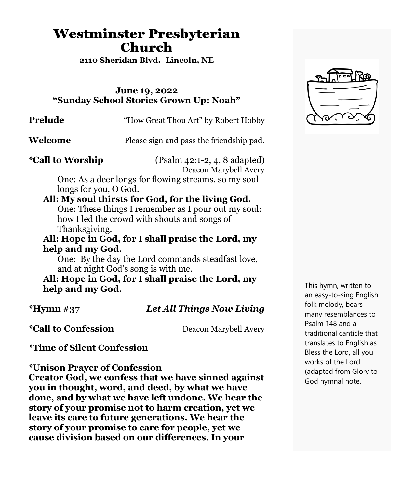# Westminster Presbyterian Church

**2110 Sheridan Blvd. Lincoln, NE**

#### **June 19, 2022 "Sunday School Stories Grown Up: Noah"**

**Prelude** "How Great Thou Art" by Robert Hobby

**Welcome** Please sign and pass the friendship pad.

**\*Call to Worship** (Psalm 42:1-2, 4, 8 adapted) Deacon Marybell Avery

One: As a deer longs for flowing streams, so my soul longs for you, O God.

#### **All: My soul thirsts for God, for the living God.**

One: These things I remember as I pour out my soul: how I led the crowd with shouts and songs of Thanksgiving.

**All: Hope in God, for I shall praise the Lord, my help and my God.**

One: By the day the Lord commands steadfast love, and at night God's song is with me.

**All: Hope in God, for I shall praise the Lord, my help and my God.**

**\*Hymn #37** *Let All Things Now Living*

**\*Call to Confession** Deacon Marybell Avery

**\*Time of Silent Confession**

**\*Unison Prayer of Confession**

**Creator God, we confess that we have sinned against you in thought, word, and deed, by what we have done, and by what we have left undone. We hear the story of your promise not to harm creation, yet we leave its care to future generations. We hear the story of your promise to care for people, yet we cause division based on our differences. In your**



This hymn, written to an easy-to-sing English folk melody, bears many resemblances to Psalm 148 and a traditional canticle that translates to English as Bless the Lord, all you works of the Lord. (adapted from Glory to God hymnal note.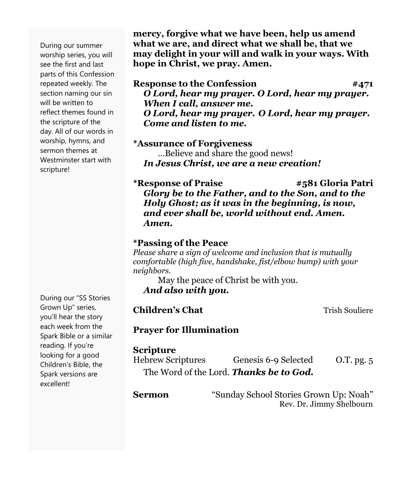During our summer worship series, you will see the first and last parts of this Confession repeated weekly. The section naming our sin will be written to reflect themes found in the scripture of the day. All of our words in worship, hymns, and sermon themes at Westminster start with scripture!

During our "SS Stories Grown Up" series, you'll hear the story each week from the Spark Bible or a similar reading. If you're looking for a good Children's Bible, the Spark versions are excellent!

**mercy, forgive what we have been, help us amend what we are, and direct what we shall be, that we may delight in your will and walk in your ways. With hope in Christ, we pray. Amen.**

#### **Response to the Confession #471** *O Lord, hear my prayer. O Lord, hear my prayer. When I call, answer me. O Lord, hear my prayer. O Lord, hear my prayer. Come and listen to me.*

#### **\*Assurance of Forgiveness**

…Believe and share the good news! *In Jesus Christ, we are a new creation!*

**\*Response of Praise #581 Gloria Patri** *Glory be to the Father, and to the Son, and to the Holy Ghost; as it was in the beginning, is now, and ever shall be, world without end. Amen. Amen.*

#### **\*Passing of the Peace**

*Please share a sign of welcome and inclusion that is mutually comfortable (high five, handshake, fist/elbow bump) with your neighbors.*

May the peace of Christ be with you. *And also with you.*

**Trish Souliere** 

#### **Prayer for Illumination**

#### **Scripture**

| <b>Hebrew Scriptures</b>                       | Genesis 6-9 Selected | $O.T.$ pg. $5$ |
|------------------------------------------------|----------------------|----------------|
| The Word of the Lord. <b>Thanks be to God.</b> |                      |                |

| Sermon | "Sunday School Stories Grown Up: Noah" |
|--------|----------------------------------------|
|        | Rev. Dr. Jimmy Shelbourn               |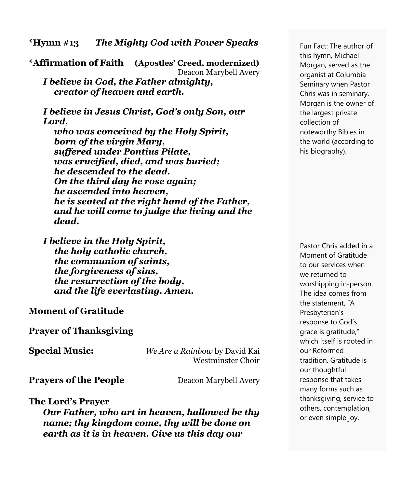**\*Hymn #13** *The Mighty God with Power Speaks* 

**\*Affirmation of Faith (Apostles' Creed, modernized)** Deacon Marybell Avery *I believe in God, the Father almighty, creator of heaven and earth.*

*I believe in Jesus Christ, God's only Son, our Lord,*

 *who was conceived by the Holy Spirit, born of the virgin Mary, suffered under Pontius Pilate, was crucified, died, and was buried; he descended to the dead. On the third day he rose again; he ascended into heaven, he is seated at the right hand of the Father, and he will come to judge the living and the dead.*

*I believe in the Holy Spirit, the holy catholic church, the communion of saints, the forgiveness of sins, the resurrection of the body, and the life everlasting. Amen.*

**Moment of Gratitude**

**Prayer of Thanksgiving**

**Special Music:** *We Are a Rainbow* by David Kai Westminster Choir

**Prayers of the People** Deacon Marybell Avery

**The Lord's Prayer**

*Our Father, who art in heaven, hallowed be thy name; thy kingdom come, thy will be done on earth as it is in heaven. Give us this day our*

Fun Fact: The author of this hymn, Michael Morgan, served as the organist at Columbia Seminary when Pastor Chris was in seminary. Morgan is the owner of the largest private collection of noteworthy Bibles in the world (according to his biography).

Pastor Chris added in a Moment of Gratitude to our services when we returned to worshipping in-person. The idea comes from the statement, "A Presbyterian's response to God's grace is gratitude," which itself is rooted in our Reformed tradition. Gratitude is our thoughtful response that takes many forms such as thanksgiving, service to others, contemplation, or even simple joy.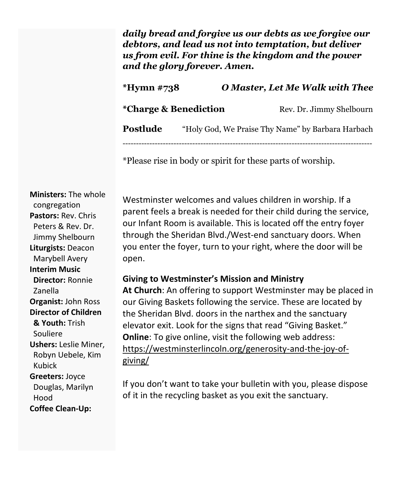*daily bread and forgive us our debts as we forgive our debtors, and lead us not into temptation, but deliver us from evil. For thine is the kingdom and the power and the glory forever. Amen.*

## **\*Hymn #738** *O Master, Let Me Walk with Thee*

| *Charge & Benediction | Rev. Dr. Jimmy Shelbourn |
|-----------------------|--------------------------|
|-----------------------|--------------------------|

**Postlude** "Holy God, We Praise Thy Name" by Barbara Harbach

---------------------------------------------------------------------------------------------

\*Please rise in body or spirit for these parts of worship.

**Ministers:** The whole congregation **Pastors:** Rev. Chris Peters & Rev. Dr. Jimmy Shelbourn **Liturgists:** Deacon Marybell Avery **Interim Music Director:** Ronnie Zanella **Organist:** John Ross **Director of Children & Youth:** Trish Souliere **Ushers:** Leslie Miner, Robyn Uebele, Kim Kubick **Greeters:** Joyce Douglas, Marilyn Hood **Coffee Clean-Up:**

Westminster welcomes and values children in worship. If a parent feels a break is needed for their child during the service, our Infant Room is available. This is located off the entry foyer through the Sheridan Blvd./West-end sanctuary doors. When you enter the foyer, turn to your right, where the door will be open.

### **Giving to Westminster's Mission and Ministry**

**At Church**: An offering to support Westminster may be placed in our Giving Baskets following the service. These are located by the Sheridan Blvd. doors in the narthex and the sanctuary elevator exit. Look for the signs that read "Giving Basket." **Online**: To give online, visit the following web address: [https://westminsterlincoln.org/generosity-and-the-joy-of](https://westminsterlincoln.org/generosity-and-the-joy-of-giving/)[giving/](https://westminsterlincoln.org/generosity-and-the-joy-of-giving/)

If you don't want to take your bulletin with you, please dispose of it in the recycling basket as you exit the sanctuary.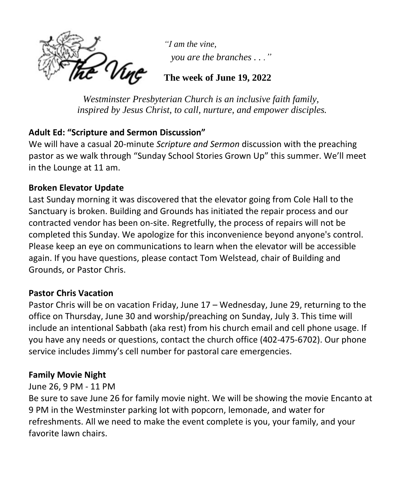'Ving

*"I am the vine, you are the branches . . ."*

### **The week of June 19, 2022**

*Westminster Presbyterian Church is an inclusive faith family, inspired by Jesus Christ, to call, nurture, and empower disciples.*

### **Adult Ed: "Scripture and Sermon Discussion"**

We will have a casual 20-minute *Scripture and Sermon* discussion with the preaching pastor as we walk through "Sunday School Stories Grown Up" this summer. We'll meet in the Lounge at 11 am.

### **Broken Elevator Update**

Last Sunday morning it was discovered that the elevator going from Cole Hall to the Sanctuary is broken. Building and Grounds has initiated the repair process and our contracted vendor has been on-site. Regretfully, the process of repairs will not be completed this Sunday. We apologize for this inconvenience beyond anyone's control. Please keep an eye on communications to learn when the elevator will be accessible again. If you have questions, please contact Tom Welstead, chair of Building and Grounds, or Pastor Chris.

### **Pastor Chris Vacation**

Pastor Chris will be on vacation Friday, June 17 – Wednesday, June 29, returning to the office on Thursday, June 30 and worship/preaching on Sunday, July 3. This time will include an intentional Sabbath (aka rest) from his church email and cell phone usage. If you have any needs or questions, contact the church office (402-475-6702). Our phone service includes Jimmy's cell number for pastoral care emergencies.

### **Family Movie Night**

### June 26, 9 PM - 11 PM

Be sure to save June 26 for family movie night. We will be showing the movie Encanto at 9 PM in the Westminster parking lot with popcorn, lemonade, and water for refreshments. All we need to make the event complete is you, your family, and your favorite lawn chairs.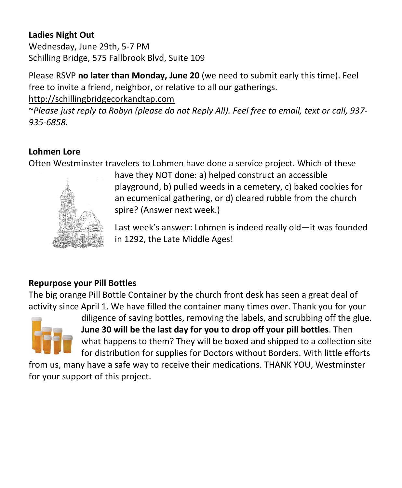### **Ladies Night Out**

Wednesday, June 29th, 5-7 PM Schilling Bridge, 575 Fallbrook Blvd, Suite 109

Please RSVP **no later than Monday, June 20** (we need to submit early this time). Feel free to invite a friend, neighbor, or relative to all our gatherings.

[http://schillingbridgecorkandtap.com](http://schillingbridgecorkandtap.com/)

~*Please just reply to Robyn (please do not Reply All). Feel free to email, text or call, 937- 935-6858.*

### **Lohmen Lore**

Often Westminster travelers to Lohmen have done a service project. Which of these



have they NOT done: a) helped construct an accessible playground, b) pulled weeds in a cemetery, c) baked cookies for an ecumenical gathering, or d) cleared rubble from the church spire? (Answer next week.)

Last week's answer: Lohmen is indeed really old—it was founded in 1292, the Late Middle Ages!

### **Repurpose your Pill Bottles**

The big orange Pill Bottle Container by the church front desk has seen a great deal of activity since April 1. We have filled the container many times over. Thank you for your



diligence of saving bottles, removing the labels, and scrubbing off the glue. **June 30 will be the last day for you to drop off your pill bottles**. Then what happens to them? They will be boxed and shipped to a collection site for distribution for supplies for Doctors without Borders. With little efforts

from us, many have a safe way to receive their medications. THANK YOU, Westminster for your support of this project.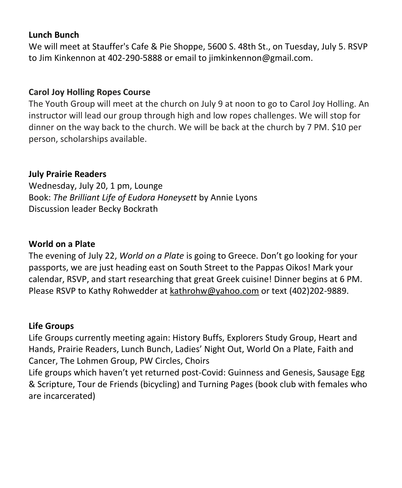#### **Lunch Bunch**

We will meet at Stauffer's Cafe & Pie Shoppe, 5600 S. 48th St., on Tuesday, July 5. RSVP to Jim Kinkennon at 402-290-5888 or email to [jimkinkennon@gmail.com.](mailto:jimkinkennon@gmail.com)

#### **Carol Joy Holling Ropes Course**

The Youth Group will meet at the church on July 9 at noon to go to Carol Joy Holling. An instructor will lead our group through high and low ropes challenges. We will stop for dinner on the way back to the church. We will be back at the church by 7 PM. \$10 per person, scholarships available.

#### **July Prairie Readers**

Wednesday, July 20, 1 pm, Lounge Book: *The Brilliant Life of Eudora Honeysett* by Annie Lyons Discussion leader Becky Bockrath

#### **World on a Plate**

The evening of July 22, *World on a Plate* is going to Greece. Don't go looking for your passports, we are just heading east on South Street to the Pappas Oikos! Mark your calendar, RSVP, and start researching that great Greek cuisine! Dinner begins at 6 PM. Please RSVP to Kathy Rohwedder at [kathrohw@yahoo.com](mailto:kathrohw@yahoo.com) or text (402)202-9889.

#### **Life Groups**

Life Groups currently meeting again: History Buffs, Explorers Study Group, Heart and Hands, Prairie Readers, Lunch Bunch, Ladies' Night Out, World On a Plate, Faith and Cancer, The Lohmen Group, PW Circles, Choirs

Life groups which haven't yet returned post-Covid: Guinness and Genesis, Sausage Egg & Scripture, Tour de Friends (bicycling) and Turning Pages (book club with females who are incarcerated)